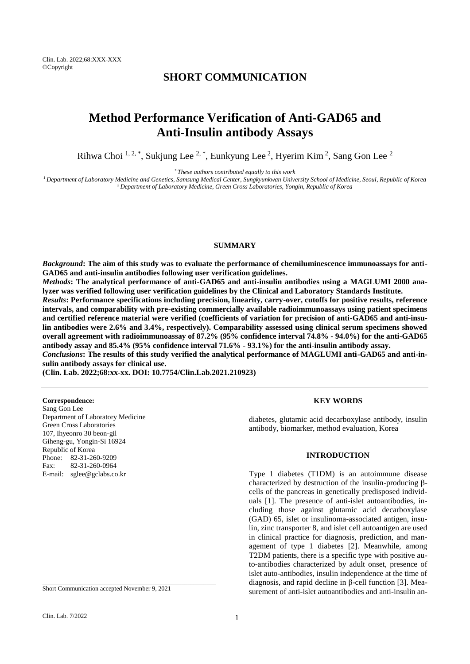# **SHORT COMMUNICATION**

# **Method Performance Verification of Anti-GAD65 and Anti-Insulin antibody Assays**

Rihwa Choi  $^{1, 2, *}$ , Sukjung Lee  $^{2, *}$ , Eunkyung Lee  $^{2}$ , Hyerim Kim  $^{2}$ , Sang Gon Lee  $^{2}$ 

*\* These authors contributed equally to this work*

*<sup>1</sup>Department of Laboratory Medicine and Genetics, Samsung Medical Center, Sungkyunkwan University School of Medicine, Seoul, Republic of Korea <sup>2</sup>Department of Laboratory Medicine, Green Cross Laboratories, Yongin, Republic of Korea*

#### **SUMMARY**

*Background***: The aim of this study was to evaluate the performance of chemiluminescence immunoassays for anti-GAD65 and anti-insulin antibodies following user verification guidelines.**

*Methods***: The analytical performance of anti-GAD65 and anti-insulin antibodies using a MAGLUMI 2000 analyzer was verified following user verification guidelines by the Clinical and Laboratory Standards Institute.** *Results***: Performance specifications including precision, linearity, carry-over, cutoffs for positive results, reference intervals, and comparability with pre-existing commercially available radioimmunoassays using patient specimens and certified reference material were verified (coefficients of variation for precision of anti-GAD65 and anti-insulin antibodies were 2.6% and 3.4%, respectively). Comparability assessed using clinical serum specimens showed overall agreement with radioimmunoassay of 87.2% (95% confidence interval 74.8% - 94.0%) for the anti-GAD65** 

**antibody assay and 85.4% (95% confidence interval 71.6% - 93.1%) for the anti-insulin antibody assay.** *Conclusions***: The results of this study verified the analytical performance of MAGLUMI anti-GAD65 and anti-insulin antibody assays for clinical use.**

**(Clin. Lab. 2022;68:xx-xx. DOI: 10.7754/Clin.Lab.2021.210923)**

**Correspondence:**

Sang Gon Lee Department of Laboratory Medicine Green Cross Laboratories 107, Ihyeonro 30 beon-gil Giheng-gu, Yongin-Si 16924 Republic of Korea Phone: 82-31-260-9209 Fax: 82-31-260-0964 E-mail: sglee@gclabs.co.kr

**KEY WORDS**

diabetes, glutamic acid decarboxylase antibody, insulin antibody, biomarker, method evaluation, Korea

# **INTRODUCTION**

Type 1 diabetes (T1DM) is an autoimmune disease characterized by destruction of the insulin-producing βcells of the pancreas in genetically predisposed individuals [1]. The presence of anti-islet autoantibodies, including those against glutamic acid decarboxylase (GAD) 65, islet or insulinoma-associated antigen, insulin, zinc transporter 8, and islet cell autoantigen are used in clinical practice for diagnosis, prediction, and management of type 1 diabetes [2]. Meanwhile, among T2DM patients, there is a specific type with positive auto-antibodies characterized by adult onset, presence of islet auto-antibodies, insulin independence at the time of diagnosis, and rapid decline in β-cell function [3]. Measurement of anti-islet autoantibodies and anti-insulin an-

Short Communication accepted November 9, 2021

\_\_\_\_\_\_\_\_\_\_\_\_\_\_\_\_\_\_\_\_\_\_\_\_\_\_\_\_\_\_\_\_\_\_\_\_\_\_\_\_\_\_\_\_\_\_\_\_\_\_\_\_\_\_\_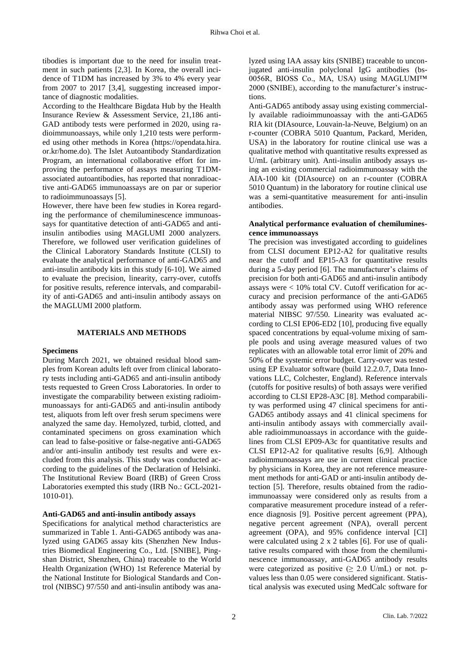tibodies is important due to the need for insulin treatment in such patients [2,3]. In Korea, the overall incidence of T1DM has increased by 3% to 4% every year from 2007 to 2017 [3,4], suggesting increased importance of diagnostic modalities.

According to the Healthcare Bigdata Hub by the Health Insurance Review & Assessment Service, 21,186 anti-GAD antibody tests were performed in 2020, using radioimmunoassays, while only 1,210 tests were performed using other methods in Korea [\(https://opendata.hira.](https://opendata.hira/) or.kr/home.do). The Islet Autoantibody Standardization Program, an international collaborative effort for improving the performance of assays measuring T1DMassociated autoantibodies, has reported that nonradioactive anti-GAD65 immunoassays are on par or superior to radioimmunoassays [5].

However, there have been few studies in Korea regarding the performance of chemiluminescence immunoassays for quantitative detection of anti-GAD65 and antiinsulin antibodies using MAGLUMI 2000 analyzers. Therefore, we followed user verification guidelines of the Clinical Laboratory Standards Institute (CLSI) to evaluate the analytical performance of anti-GAD65 and anti-insulin antibody kits in this study [6-10]. We aimed to evaluate the precision, linearity, carry-over, cutoffs for positive results, reference intervals, and comparability of anti-GAD65 and anti-insulin antibody assays on the MAGLUMI 2000 platform.

#### **MATERIALS AND METHODS**

#### **Specimens**

During March 2021, we obtained residual blood samples from Korean adults left over from clinical laboratory tests including anti-GAD65 and anti-insulin antibody tests requested to Green Cross Laboratories. In order to investigate the comparability between existing radioimmunoassays for anti-GAD65 and anti-insulin antibody test, aliquots from left over fresh serum specimens were analyzed the same day. Hemolyzed, turbid, clotted, and contaminated specimens on gross examination which can lead to false-positive or false-negative anti-GAD65 and/or anti-insulin antibody test results and were excluded from this analysis. This study was conducted according to the guidelines of the Declaration of Helsinki. The Institutional Review Board (IRB) of Green Cross Laboratories exempted this study (IRB No.: GCL-2021- 1010-01).

#### **Anti-GAD65 and anti-insulin antibody assays**

Specifications for analytical method characteristics are summarized in Table 1. Anti-GAD65 antibody was analyzed using GAD65 assay kits (Shenzhen New Industries Biomedical Engineering Co., Ltd. [SNIBE], Pingshan District, Shenzhen, China) traceable to the World Health Organization (WHO) 1st Reference Material by the National Institute for Biological Standards and Control (NIBSC) 97/550 and anti-insulin antibody was ana-

lyzed using IAA assay kits (SNIBE) traceable to unconjugated anti-insulin polyclonal IgG antibodies (bs-0056R, BIOSS Co., MA, USA) using MAGLUMI™ 2000 (SNIBE), according to the manufacturer's instructions.

Anti-GAD65 antibody assay using existing commercially available radioimmunoassay with the anti-GAD65 RIA kit (DIAsource, Louvain-la-Neuve, Belgium) on an r-counter (COBRA 5010 Quantum, Packard, Meriden, USA) in the laboratory for routine clinical use was a qualitative method with quantitative results expressed as U/mL (arbitrary unit). Anti-insulin antibody assays using an existing commercial radioimmunoassay with the AIA-100 kit (DIAsource) on an r-counter (COBRA 5010 Quantum) in the laboratory for routine clinical use was a semi-quantitative measurement for anti-insulin antibodies.

#### **Analytical performance evaluation of chemiluminescence immunoassays**

The precision was investigated according to guidelines from CLSI document EP12-A2 for qualitative results near the cutoff and EP15-A3 for quantitative results during a 5-day period [6]. The manufacturer's claims of precision for both anti-GAD65 and anti-insulin antibody assays were < 10% total CV. Cutoff verification for accuracy and precision performance of the anti-GAD65 antibody assay was performed using WHO reference material NIBSC 97/550. Linearity was evaluated according to CLSI EP06-ED2 [10], producing five equally spaced concentrations by equal-volume mixing of sample pools and using average measured values of two replicates with an allowable total error limit of 20% and 50% of the systemic error budget. Carry-over was tested using EP Evaluator software (build 12.2.0.7, Data Innovations LLC, Colchester, England). Reference intervals (cutoffs for positive results) of both assays were verified according to CLSI EP28-A3C [8]. Method comparability was performed using 47 clinical specimens for anti-GAD65 antibody assays and 41 clinical specimens for anti-insulin antibody assays with commercially available radioimmunoassays in accordance with the guidelines from CLSI EP09-A3c for quantitative results and CLSI EP12-A2 for qualitative results [6,9]. Although radioimmunoassays are use in current clinical practice by physicians in Korea, they are not reference measurement methods for anti-GAD or anti-insulin antibody detection [5]. Therefore, results obtained from the radioimmunoassay were considered only as results from a comparative measurement procedure instead of a reference diagnosis [9]. Positive percent agreement (PPA), negative percent agreement (NPA), overall percent agreement (OPA), and 95% confidence interval [CI] were calculated using 2 x 2 tables [6]. For use of qualitative results compared with those from the chemiluminescence immunoassay, anti-GAD65 antibody results were categorized as positive  $(\geq 2.0 \text{ U/mL})$  or not. pvalues less than 0.05 were considered significant. Statistical analysis was executed using MedCalc software for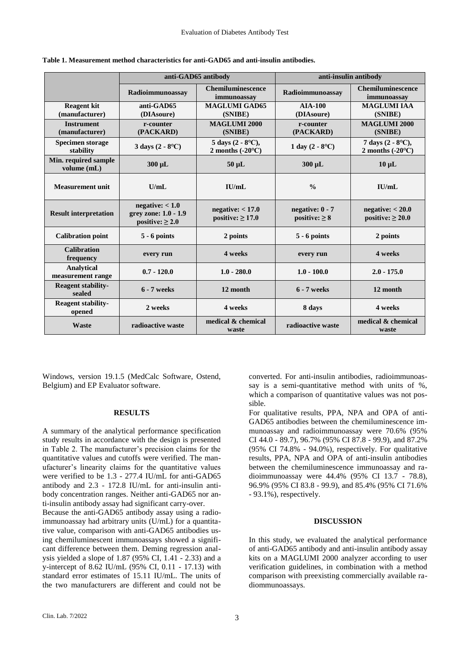|                                      | anti-GAD65 antibody                                             |                                                          | anti-insulin antibody                            |                                                               |  |
|--------------------------------------|-----------------------------------------------------------------|----------------------------------------------------------|--------------------------------------------------|---------------------------------------------------------------|--|
|                                      | Radioimmunoassay                                                | <b>Chemiluminescence</b><br>immunoassay                  | Radioimmunoassay                                 | <b>Chemiluminescence</b><br>immunoassay                       |  |
| <b>Reagent kit</b><br>(manufacturer) | anti-GAD65<br>(DIAsoure)                                        | <b>MAGLUMI GAD65</b><br>(SNIBE)                          | <b>AIA-100</b><br>(DIAsoure)                     | <b>MAGLUMI IAA</b><br>(SNIBE)                                 |  |
| <b>Instrument</b><br>(manufacturer)  | r-counter<br>(PACKARD)                                          | <b>MAGLUMI 2000</b><br>(SNIBE)                           | r-counter<br>(PACKARD)                           | <b>MAGLUMI 2000</b><br>(SNIBE)                                |  |
| <b>Specimen storage</b><br>stability | 3 days $(2 - 8^{\circ}C)$                                       | 5 days $(2 - 8^{\circ}C)$ ,<br>2 months $(-20^{\circ}C)$ | 1 day $(2 - 8$ °C)                               | 7 days $(2 - 8$ <sup>o</sup> C),<br>2 months $(-20^{\circ}C)$ |  |
| Min. required sample<br>volume (mL)  | $300 \mu L$                                                     | $50 \mu L$                                               | 300 µL                                           | $10 \mu L$                                                    |  |
| <b>Measurement unit</b>              | U/mL                                                            | I U/mL                                                   | $\frac{0}{0}$                                    | $\mathbf{H}$ $\mathbf{I}$                                     |  |
| <b>Result interpretation</b>         | negative: < 1.0<br>grey zone: 1.0 - 1.9<br>positive: $\geq 2.0$ | negative: $< 17.0$<br>positive: $\geq$ 17.0              | negative: $0 - 7$<br>positive: $\geq 8$          | negative: < 20.0<br>positive: $\geq 20.0$                     |  |
| <b>Calibration point</b>             | $5 - 6$ points                                                  | 2 points                                                 | $5 - 6$ points                                   | 2 points                                                      |  |
| <b>Calibration</b><br>frequency      | every run                                                       | 4 weeks                                                  | every run                                        | 4 weeks                                                       |  |
| Analytical<br>measurement range      | $0.7 - 120.0$                                                   | $1.0 - 280.0$                                            | $1.0 - 100.0$                                    | $2.0 - 175.0$                                                 |  |
| <b>Reagent stability-</b><br>sealed  | <b>6 - 7 weeks</b>                                              | 12 month                                                 | 12 month<br>$6 - 7$ weeks                        |                                                               |  |
| <b>Reagent stability-</b><br>opened  | 2 weeks                                                         | 4 weeks                                                  | 8 days<br>4 weeks                                |                                                               |  |
| <b>Waste</b>                         | radioactive waste                                               | medical & chemical<br>waste                              | medical & chemical<br>radioactive waste<br>waste |                                                               |  |

**Table 1. Measurement method characteristics for anti-GAD65 and anti-insulin antibodies.**

Windows, version 19.1.5 (MedCalc Software, Ostend, Belgium) and EP Evaluator software.

#### **RESULTS**

A summary of the analytical performance specification study results in accordance with the design is presented in Table 2. The manufacturer's precision claims for the quantitative values and cutoffs were verified. The manufacturer's linearity claims for the quantitative values were verified to be 1.3 - 277.4 IU/mL for anti-GAD65 antibody and 2.3 - 172.8 IU/mL for anti-insulin antibody concentration ranges. Neither anti-GAD65 nor anti-insulin antibody assay had significant carry-over.

Because the anti-GAD65 antibody assay using a radioimmunoassay had arbitrary units (U/mL) for a quantitative value, comparison with anti-GAD65 antibodies using chemiluminescent immunoassays showed a significant difference between them. Deming regression analysis yielded a slope of 1.87 (95% CI, 1.41 - 2.33) and a y-intercept of 8.62 IU/mL (95% CI, 0.11 - 17.13) with standard error estimates of 15.11 IU/mL. The units of the two manufacturers are different and could not be

converted. For anti-insulin antibodies, radioimmunoassay is a semi-quantitative method with units of %, which a comparison of quantitative values was not possible.

For qualitative results, PPA, NPA and OPA of anti-GAD65 antibodies between the chemiluminescence immunoassay and radioimmunoassay were 70.6% (95% CI 44.0 - 89.7), 96.7% (95% CI 87.8 - 99.9), and 87.2% (95% CI 74.8% - 94.0%), respectively. For qualitative results, PPA, NPA and OPA of anti-insulin antibodies between the chemiluminescence immunoassay and radioimmunoassay were 44.4% (95% CI 13.7 - 78.8), 96.9% (95% CI 83.8 - 99.9), and 85.4% (95% CI 71.6% - 93.1%), respectively.

# **DISCUSSION**

In this study, we evaluated the analytical performance of anti-GAD65 antibody and anti-insulin antibody assay kits on a MAGLUMI 2000 analyzer according to user verification guidelines, in combination with a method comparison with preexisting commercially available radiommunoassays.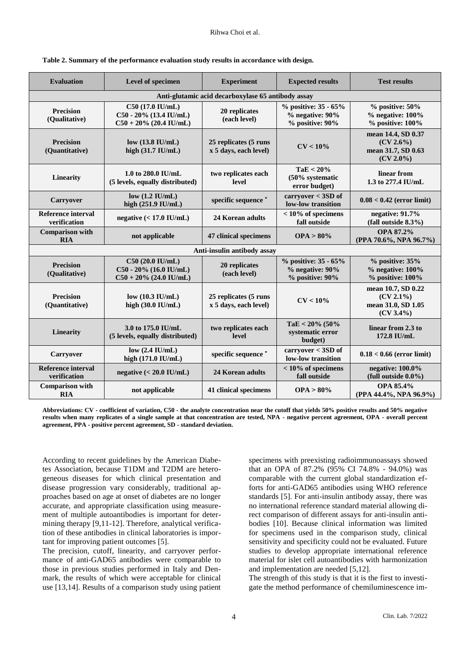| <b>Evaluation</b>                                  | Level of specimen                                                       | <b>Experiment</b>                              | <b>Expected results</b>                                                 | <b>Test results</b>                                                      |  |  |  |  |
|----------------------------------------------------|-------------------------------------------------------------------------|------------------------------------------------|-------------------------------------------------------------------------|--------------------------------------------------------------------------|--|--|--|--|
| Anti-glutamic acid decarboxylase 65 antibody assay |                                                                         |                                                |                                                                         |                                                                          |  |  |  |  |
| <b>Precision</b><br>(Qualitative)                  | C50 (17.0 IU/mL)<br>C50 - 20% (13.4 IU/mL)<br>$C50 + 20\%$ (20.4 IU/mL) | 20 replicates<br>(each level)                  | % positive: 35 - 65%<br>$%$ negative: $90\%$<br>% positive: 90%         | $%$ positive: 50%<br>$%$ negative: $100\%$<br>$%$ positive: $100\%$      |  |  |  |  |
| <b>Precision</b><br>(Quantitative)                 | low $(13.8 \text{ IU/mL})$<br>high (31.7 IU/mL)                         | 25 replicates (5 runs<br>x 5 days, each level) | $CV < 10\%$                                                             | mean 14.4, SD 0.37<br>$(CV 2.6\%)$<br>mean 31.7, SD 0.63<br>$(CV 2.0\%)$ |  |  |  |  |
| <b>Linearity</b>                                   | 1.0 to 280.0 IU/mL<br>(5 levels, equally distributed)                   | two replicates each<br>level                   | TaE < 20%<br>(50% systematic<br>error budget)                           | linear from<br>1.3 to 277.4 IU/mL                                        |  |  |  |  |
| Carryover                                          | low $(1.2 \text{ IU/mL})$<br>high $(251.9 \text{ IU/mL})$               | specific sequence *                            | $carryover < 3SD$ of<br>low-low transition                              | $0.08 < 0.42$ (error limit)                                              |  |  |  |  |
| <b>Reference interval</b><br>verification          | negative $(< 17.0$ IU/mL)                                               | 24 Korean adults                               | $< 10\%$ of specimens<br>fall outside                                   | negative: 91.7%<br>(fall outside 8.3%)                                   |  |  |  |  |
| <b>Comparison with</b><br><b>RIA</b>               | not applicable                                                          | 47 clinical specimens                          | $OPA > 80\%$                                                            | OPA 87.2%<br>(PPA 70.6%, NPA 96.7%)                                      |  |  |  |  |
|                                                    |                                                                         | Anti-insulin antibody assay                    |                                                                         |                                                                          |  |  |  |  |
| <b>Precision</b><br>(Qualitative)                  | C50 (20.0 IU/mL)<br>C50 - 20% (16.0 IU/mL)<br>$C50 + 20\%$ (24.0 IU/mL) | 20 replicates<br>(each level)                  | % positive: 35 - 65%<br>$%$ negative: $90\%$<br>$%$ positive: $90\%$    | $%$ positive: $35%$<br>$%$ negative: $100\%$<br>$%$ positive: $100\%$    |  |  |  |  |
| <b>Precision</b><br>(Quantitative)                 | low $(10.3 \text{ IU/mL})$<br>high (30.0 IU/mL)                         | 25 replicates (5 runs<br>x 5 days, each level) | $CV < 10\%$                                                             | mean 10.7, SD 0.22<br>(CV 2.1%)<br>mean 31.0, SD 1.05<br>$(CV 3.4\%)$    |  |  |  |  |
| Linearity                                          | 3.0 to 175.0 IU/mL<br>(5 levels, equally distributed)                   | two replicates each<br>level                   | TaE < $20\%$ (50%<br>systematic error<br>budget)                        | linear from 2.3 to<br>172.8 IU/mL                                        |  |  |  |  |
| Carryover                                          | low $(2.4 \text{ IU/mL})$<br>high (171.0 IU/mL)                         | specific sequence*                             | carryover < 3SD of<br>$0.18 < 0.66$ (error limit)<br>low-low transition |                                                                          |  |  |  |  |
| <b>Reference interval</b><br>verification          | negative $(< 20.0$ IU/mL)                                               | 24 Korean adults                               | $< 10\%$ of specimens<br>fall outside                                   | negative: 100.0%<br>(full outside $0.0\%$ )                              |  |  |  |  |
| <b>Comparison with</b><br><b>RIA</b>               | not applicable                                                          | 41 clinical specimens                          | OPA > 80%                                                               | OPA 85.4%<br>(PPA 44.4%, NPA 96.9%)                                      |  |  |  |  |

|  | Table 2. Summary of the performance evaluation study results in accordance with design. |  |  |  |
|--|-----------------------------------------------------------------------------------------|--|--|--|
|  |                                                                                         |  |  |  |

**Abbreviations: CV - coefficient of variation, C50 - the analyte concentration near the cutoff that yields 50% positive results and 50% negative results when many replicates of a single sample at that concentration are tested, NPA - negative percent agreement, OPA - overall percent agreement, PPA - positive percent agreement, SD - standard deviation.**

According to recent guidelines by the American Diabetes Association, because T1DM and T2DM are heterogeneous diseases for which clinical presentation and disease progression vary considerably, traditional approaches based on age at onset of diabetes are no longer accurate, and appropriate classification using measurement of multiple autoantibodies is important for determining therapy [9,11-12]. Therefore, analytical verification of these antibodies in clinical laboratories is important for improving patient outcomes [5].

The precision, cutoff, linearity, and carryover performance of anti-GAD65 antibodies were comparable to those in previous studies performed in Italy and Denmark, the results of which were acceptable for clinical use [13,14]. Results of a comparison study using patient

specimens with preexisting radioimmunoassays showed that an OPA of 87.2% (95% CI 74.8% - 94.0%) was comparable with the current global standardization efforts for anti-GAD65 antibodies using WHO reference standards [5]. For anti-insulin antibody assay, there was no international reference standard material allowing direct comparison of different assays for anti-insulin antibodies [10]. Because clinical information was limited for specimens used in the comparison study, clinical sensitivity and specificity could not be evaluated. Future studies to develop appropriate international reference material for islet cell autoantibodies with harmonization and implementation are needed [5,12].

The strength of this study is that it is the first to investigate the method performance of chemiluminescence im